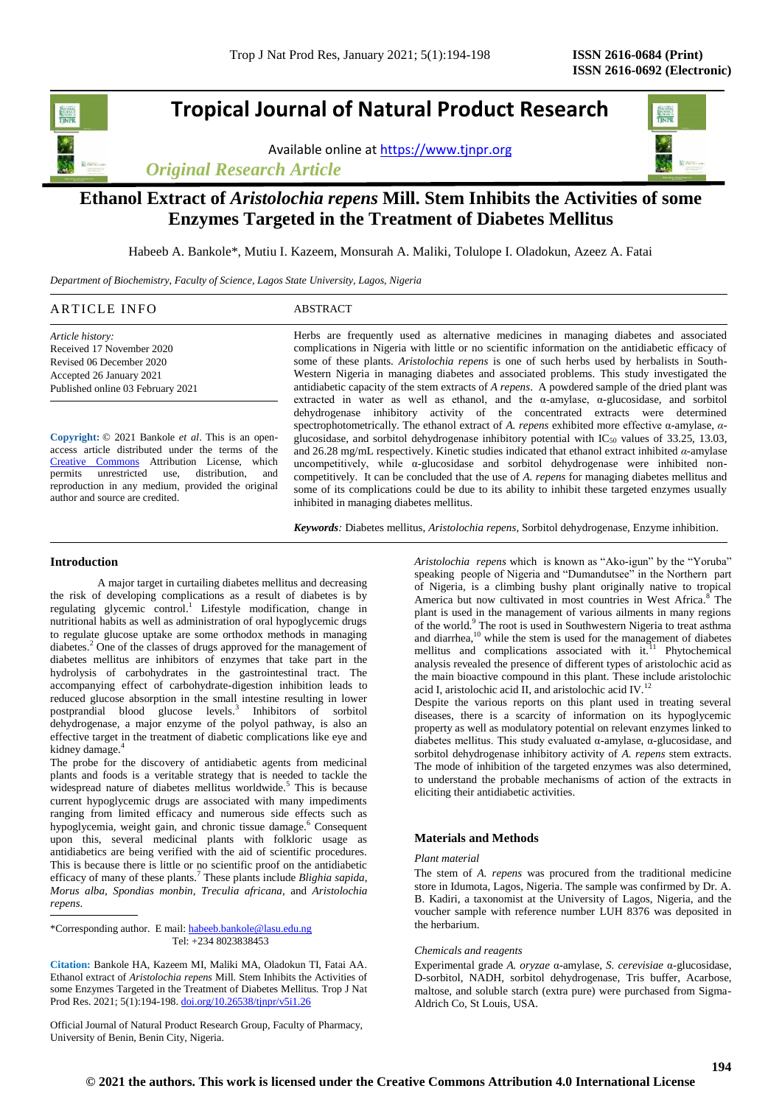# **Tropical Journal of Natural Product Research**

Available online a[t https://www.tjnpr.org](https://www.tjnpr.org/)

*Original Research Article*



## **Ethanol Extract of** *Aristolochia repens* **Mill. Stem Inhibits the Activities of some Enzymes Targeted in the Treatment of Diabetes Mellitus**

Habeeb A. Bankole\*, Mutiu I. Kazeem, Monsurah A. Maliki, Tolulope I. Oladokun, Azeez A. Fatai

*Department of Biochemistry, Faculty of Science, Lagos State University, Lagos, Nigeria*

|                                                                                                                 | $\sim$                                                                                                          |
|-----------------------------------------------------------------------------------------------------------------|-----------------------------------------------------------------------------------------------------------------|
| AК                                                                                                              | $\sim$ $\sim$ $\sim$                                                                                            |
| ,,,,,                                                                                                           | - 53                                                                                                            |
| the contract of the contract of the contract of the contract of the contract of the contract of the contract of | the contract of the contract of the contract of the contract of the contract of the contract of the contract of |
|                                                                                                                 |                                                                                                                 |

*Article history:* Received 17 November 2020 Revised 06 December 2020 Accepted 26 January 2021 Published online 03 February 2021

**Copyright:** © 2021 Bankole *et al*. This is an openaccess article distributed under the terms of the [Creative Commons](https://creativecommons.org/licenses/by/4.0/) Attribution License, which<br>permits unrestricted use, distribution, and unrestricted use, distribution, and reproduction in any medium, provided the original author and source are credited.

Herbs are frequently used as alternative medicines in managing diabetes and associated complications in Nigeria with little or no scientific information on the antidiabetic efficacy of some of these plants. *Aristolochia repens* is one of such herbs used by herbalists in South-Western Nigeria in managing diabetes and associated problems. This study investigated the antidiabetic capacity of the stem extracts of *A repens*. A powdered sample of the dried plant was extracted in water as well as ethanol, and the α-amylase, α-glucosidase, and sorbitol dehydrogenase inhibitory activity of the concentrated extracts were determined spectrophotometrically. The ethanol extract of *A. repens* exhibited more effective α-amylase, *α*glucosidase, and sorbitol dehydrogenase inhibitory potential with  $IC_{50}$  values of 33.25, 13.03, and 26.28 mg/mL respectively. Kinetic studies indicated that ethanol extract inhibited *α*-amylase uncompetitively, while  $\alpha$ -glucosidase and sorbitol dehydrogenase were inhibited noncompetitively. It can be concluded that the use of *A. repens* for managing diabetes mellitus and some of its complications could be due to its ability to inhibit these targeted enzymes usually inhibited in managing diabetes mellitus.

*Keywords:* Diabetes mellitus, *Aristolochia repens*, Sorbitol dehydrogenase, Enzyme inhibition.

## **Introduction**

A major target in curtailing diabetes mellitus and decreasing the risk of developing complications as a result of diabetes is by regulating glycemic control.<sup>1</sup> Lifestyle modification, change in nutritional habits as well as administration of oral hypoglycemic drugs to regulate glucose uptake are some orthodox methods in managing diabetes.<sup>2</sup> One of the classes of drugs approved for the management of diabetes mellitus are inhibitors of enzymes that take part in the hydrolysis of carbohydrates in the gastrointestinal tract. The accompanying effect of carbohydrate-digestion inhibition leads to reduced glucose absorption in the small intestine resulting in lower postprandial blood glucose levels.<sup>3</sup> Inhibitors of sorbitol dehydrogenase, a major enzyme of the polyol pathway, is also an effective target in the treatment of diabetic complications like eye and kidney damage.

The probe for the discovery of antidiabetic agents from medicinal plants and foods is a veritable strategy that is needed to tackle the widespread nature of diabetes mellitus worldwide.<sup>5</sup> This is because current hypoglycemic drugs are associated with many impediments ranging from limited efficacy and numerous side effects such as hypoglycemia, weight gain, and chronic tissue damage.<sup>6</sup> Consequent upon this, several medicinal plants with folkloric usage as antidiabetics are being verified with the aid of scientific procedures. This is because there is little or no scientific proof on the antidiabetic efficacy of many of these plants.<sup>7</sup> These plants include *Blighia sapida*, *Morus alba*, *Spondias monbin*, *Treculia africana,* and *Aristolochia repens.*

\*Corresponding author. E mail[: habeeb.bankole@lasu.edu.ng](mailto:habeeb.bankole@lasu.edu.ng) Tel: +234 8023838453

**Citation:** Bankole HA, Kazeem MI, Maliki MA, Oladokun TI, Fatai AA. Ethanol extract of *Aristolochia repens* Mill. Stem Inhibits the Activities of some Enzymes Targeted in the Treatment of Diabetes Mellitus*.* Trop J Nat Prod Res. 2021; 5(1):194-198. [doi.org/10.26538/tjnpr/v5i1.2](http://www.doi.org/10.26538/tjnpr/v1i4.5)6

Official Journal of Natural Product Research Group, Faculty of Pharmacy, University of Benin, Benin City, Nigeria.

*Aristolochia repens* which is known as "Ako-igun" by the "Yoruba" speaking people of Nigeria and "Dumandutsee" in the Northern part of Nigeria, is a climbing bushy plant originally native to tropical America but now cultivated in most countries in West Africa.<sup>8</sup> The plant is used in the management of various ailments in many regions of the world.<sup>9</sup> The root is used in Southwestern Nigeria to treat asthma and diarrhea,<sup>10</sup> while the stem is used for the management of diabetes mellitus and complications associated with  $it$ <sup>11</sup> Phytochemical analysis revealed the presence of different types of aristolochic acid as the main bioactive compound in this plant. These include aristolochic acid I, aristolochic acid II, and aristolochic acid IV. $<sup>1</sup>$ </sup>

Despite the various reports on this plant used in treating several diseases, there is a scarcity of information on its hypoglycemic property as well as modulatory potential on relevant enzymes linked to diabetes mellitus. This study evaluated α-amylase, α-glucosidase, and sorbitol dehydrogenase inhibitory activity of *A. repens* stem extracts. The mode of inhibition of the targeted enzymes was also determined, to understand the probable mechanisms of action of the extracts in eliciting their antidiabetic activities.

## **Materials and Methods**

## *Plant material*

The stem of *A. repens* was procured from the traditional medicine store in Idumota, Lagos, Nigeria. The sample was confirmed by Dr. A. B. Kadiri, a taxonomist at the University of Lagos, Nigeria, and the voucher sample with reference number LUH 8376 was deposited in the herbarium.

## *Chemicals and reagents*

Experimental grade *A. oryzae* α-amylase, *S. cerevisiae* α-glucosidase, D-sorbitol, NADH, sorbitol dehydrogenase, Tris buffer, Acarbose, maltose, and soluble starch (extra pure) were purchased from Sigma-Aldrich Co, St Louis, USA.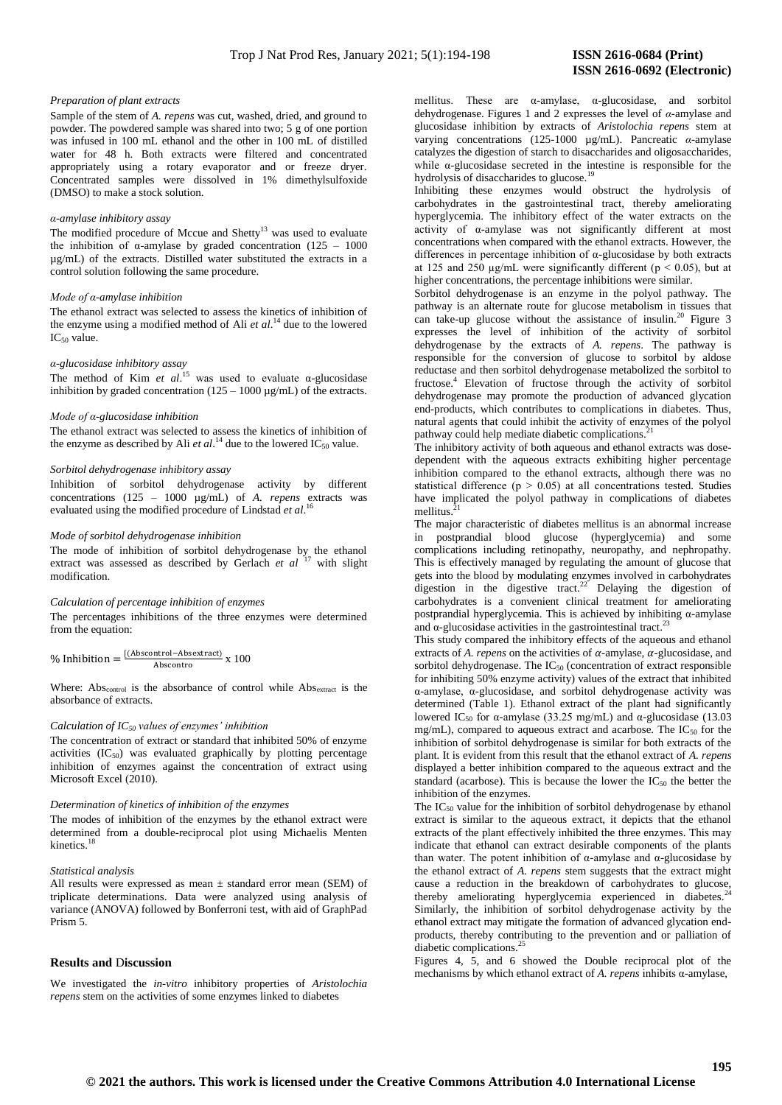#### *Preparation of plant extracts*

Sample of the stem of *A. repens* was cut, washed, dried, and ground to powder. The powdered sample was shared into two; 5 g of one portion was infused in 100 mL ethanol and the other in 100 mL of distilled water for 48 h. Both extracts were filtered and concentrated appropriately using a rotary evaporator and or freeze dryer. Concentrated samples were dissolved in 1% dimethylsulfoxide (DMSO) to make a stock solution.

#### *α-amylase inhibitory assay*

The modified procedure of Mccue and Shetty<sup>13</sup> was used to evaluate the inhibition of  $\alpha$ -amylase by graded concentration (125 – 1000 µg/mL) of the extracts. Distilled water substituted the extracts in a control solution following the same procedure.

## *Mode of α-amylase inhibition*

The ethanol extract was selected to assess the kinetics of inhibition of the enzyme using a modified method of Ali *et al*. <sup>14</sup> due to the lowered IC<sup>50</sup> value.

## *α-glucosidase inhibitory assay*

The method of Kim *et al.*<sup>15</sup> was used to evaluate  $\alpha$ -glucosidase inhibition by graded concentration  $(125 - 1000 \,\mu\text{g/mL})$  of the extracts.

## *Mode of α-glucosidase inhibition*

The ethanol extract was selected to assess the kinetics of inhibition of the enzyme as described by Ali  $et al.^{14}$  due to the lowered  $IC_{50}$  value.

## *Sorbitol dehydrogenase inhibitory assay*

Inhibition of sorbitol dehydrogenase activity by different concentrations (125 – 1000 µg/mL) of *A. repens* extracts was evaluated using the modified procedure of Lindstad *et al*. 16

## *Mode of sorbitol dehydrogenase inhibition*

The mode of inhibition of sorbitol dehydrogenase by the ethanol extract was assessed as described by Gerlach *et al* <sup>17</sup> with slight modification.

#### *Calculation of percentage inhibition of enzymes*

The percentages inhibitions of the three enzymes were determined from the equation:

$$
\% Inhibition = \frac{[(Abscontrol - Absextract)}{Abscontrol} \times 100
$$

Where: Abs<sub>control</sub> is the absorbance of control while Abs<sub>extract</sub> is the absorbance of extracts.

## *Calculation of IC<sup>50</sup> values of enzymes' inhibition*

The concentration of extract or standard that inhibited 50% of enzyme activities  $(IC_{50})$  was evaluated graphically by plotting percentage inhibition of enzymes against the concentration of extract using Microsoft Excel (2010).

#### *Determination of kinetics of inhibition of the enzymes*

The modes of inhibition of the enzymes by the ethanol extract were determined from a double-reciprocal plot using Michaelis Menten kinetics. 18

#### *Statistical analysis*

All results were expressed as mean  $\pm$  standard error mean (SEM) of triplicate determinations. Data were analyzed using analysis of variance (ANOVA) followed by Bonferroni test, with aid of GraphPad Prism 5.

#### **Results and** D**iscussion**

We investigated the *in-vitro* inhibitory properties of *Aristolochia repens* stem on the activities of some enzymes linked to diabetes

mellitus. These are α-amylase, α-glucosidase, and sorbitol dehydrogenase. Figures 1 and 2 expresses the level of *α*-amylase and glucosidase inhibition by extracts of *Aristolochia repens* stem at varying concentrations (125-1000 µg/mL). Pancreatic *α*-amylase catalyzes the digestion of starch to disaccharides and oligosaccharides, while α-glucosidase secreted in the intestine is responsible for the hydrolysis of disaccharides to glucose.<sup>19</sup>

Inhibiting these enzymes would obstruct the hydrolysis of carbohydrates in the gastrointestinal tract, thereby ameliorating hyperglycemia. The inhibitory effect of the water extracts on the activity of α-amylase was not significantly different at most concentrations when compared with the ethanol extracts. However, the differences in percentage inhibition of α-glucosidase by both extracts at 125 and 250  $\mu$ g/mL were significantly different ( $p < 0.05$ ), but at higher concentrations, the percentage inhibitions were similar.

Sorbitol dehydrogenase is an enzyme in the polyol pathway. The pathway is an alternate route for glucose metabolism in tissues that can take-up glucose without the assistance of insulin.<sup>20</sup> Figure 3 expresses the level of inhibition of the activity of sorbitol dehydrogenase by the extracts of *A. repens*. The pathway is responsible for the conversion of glucose to sorbitol by aldose reductase and then sorbitol dehydrogenase metabolized the sorbitol to fructose.<sup>4</sup> Elevation of fructose through the activity of sorbitol dehydrogenase may promote the production of advanced glycation end-products, which contributes to complications in diabetes. Thus, natural agents that could inhibit the activity of enzymes of the polyol pathway could help mediate diabetic complications.<sup>2</sup>

The inhibitory activity of both aqueous and ethanol extracts was dosedependent with the aqueous extracts exhibiting higher percentage inhibition compared to the ethanol extracts, although there was no statistical difference ( $p > 0.05$ ) at all concentrations tested. Studies have implicated the polyol pathway in complications of diabetes mellitus.

The major characteristic of diabetes mellitus is an abnormal increase in postprandial blood glucose (hyperglycemia) and some complications including retinopathy, neuropathy, and nephropathy. This is effectively managed by regulating the amount of glucose that gets into the blood by modulating enzymes involved in carbohydrates digestion in the digestive tract.<sup>22</sup> Delaying the digestion of carbohydrates is a convenient clinical treatment for ameliorating postprandial hyperglycemia. This is achieved by inhibiting α-amylase and  $\alpha$ -glucosidase activities in the gastrointestinal tract.<sup>23</sup>

This study compared the inhibitory effects of the aqueous and ethanol extracts of *A. repens* on the activities of  $\alpha$ -amylase,  $\alpha$ -glucosidase, and sorbitol dehydrogenase. The  $IC_{50}$  (concentration of extract responsible for inhibiting 50% enzyme activity) values of the extract that inhibited α-amylase, α-glucosidase, and sorbitol dehydrogenase activity was determined (Table 1). Ethanol extract of the plant had significantly lowered IC<sub>50</sub> for α-amylase (33.25 mg/mL) and α-glucosidase (13.03 mg/mL), compared to aqueous extract and acarbose. The  $IC_{50}$  for the inhibition of sorbitol dehydrogenase is similar for both extracts of the plant. It is evident from this result that the ethanol extract of *A. repens* displayed a better inhibition compared to the aqueous extract and the standard (acarbose). This is because the lower the  $IC_{50}$  the better the inhibition of the enzymes.

The  $IC_{50}$  value for the inhibition of sorbitol dehydrogenase by ethanol extract is similar to the aqueous extract, it depicts that the ethanol extracts of the plant effectively inhibited the three enzymes. This may indicate that ethanol can extract desirable components of the plants than water. The potent inhibition of α-amylase and α-glucosidase by the ethanol extract of *A. repens* stem suggests that the extract might cause a reduction in the breakdown of carbohydrates to glucose, thereby ameliorating hyperglycemia experienced in diabetes.<sup>24</sup> Similarly, the inhibition of sorbitol dehydrogenase activity by the ethanol extract may mitigate the formation of advanced glycation endproducts, thereby contributing to the prevention and or palliation of diabetic complications.<sup>25</sup>

Figures 4, 5, and 6 showed the Double reciprocal plot of the mechanisms by which ethanol extract of *A. repens* inhibits α-amylase,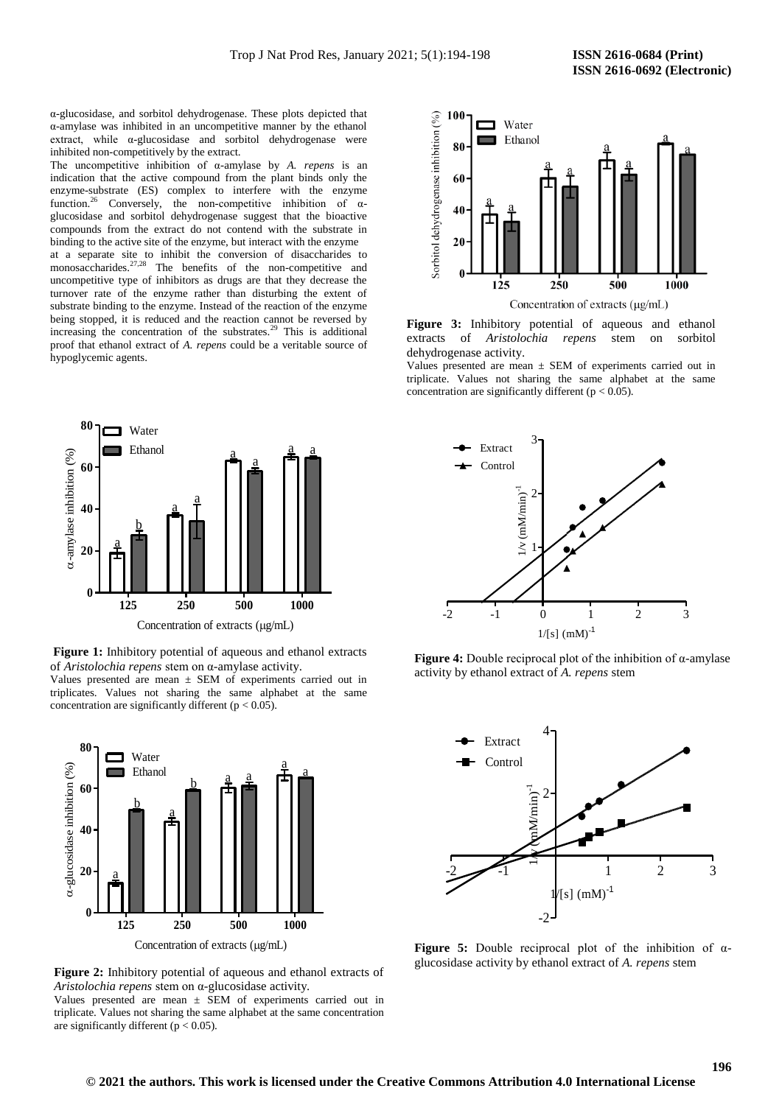α-glucosidase, and sorbitol dehydrogenase. These plots depicted that α-amylase was inhibited in an uncompetitive manner by the ethanol extract, while α-glucosidase and sorbitol dehydrogenase were inhibited non-competitively by the extract.

The uncompetitive inhibition of α-amylase by *A. repens* is an indication that the active compound from the plant binds only the enzyme-substrate (ES) complex to interfere with the enzyme function.<sup>26</sup> Conversely, the non-competitive inhibition of  $\alpha$ glucosidase and sorbitol dehydrogenase suggest that the bioactive compounds from the extract do not contend with the substrate in binding to the active site of the enzyme, but interact with the enzyme

at a separate site to inhibit the conversion of disaccharides to monosaccharides. $27,28$  The benefits of the non-competitive and uncompetitive type of inhibitors as drugs are that they decrease the turnover rate of the enzyme rather than disturbing the extent of substrate binding to the enzyme. Instead of the reaction of the enzyme being stopped, it is reduced and the reaction cannot be reversed by increasing the concentration of the substrates.<sup>29</sup> This is additional proof that ethanol extract of *A. repens* could be a veritable source of hypoglycemic agents.



**Figure 1:** Inhibitory potential of aqueous and ethanol extracts of *Aristolochia repens* stem on α-amylase activity.

Values presented are mean ± SEM of experiments carried out in triplicates. Values not sharing the same alphabet at the same concentration are significantly different ( $p < 0.05$ ).



**Figure 2:** Inhibitory potential of aqueous and ethanol extracts of *Aristolochia repens* stem on α-glucosidase activity.

Values presented are mean  $\pm$  SEM of experiments carried out in triplicate. Values not sharing the same alphabet at the same concentration are significantly different ( $p < 0.05$ ).



**Figure 3:** Inhibitory potential of aqueous and ethanol extracts of *Aristolochia repens* stem on sorbitol dehydrogenase activity.

Values presented are mean ± SEM of experiments carried out in triplicate. Values not sharing the same alphabet at the same concentration are significantly different ( $p < 0.05$ ).







**Figure 5:** Double reciprocal plot of the inhibition of αglucosidase activity by ethanol extract of *A. repens* stem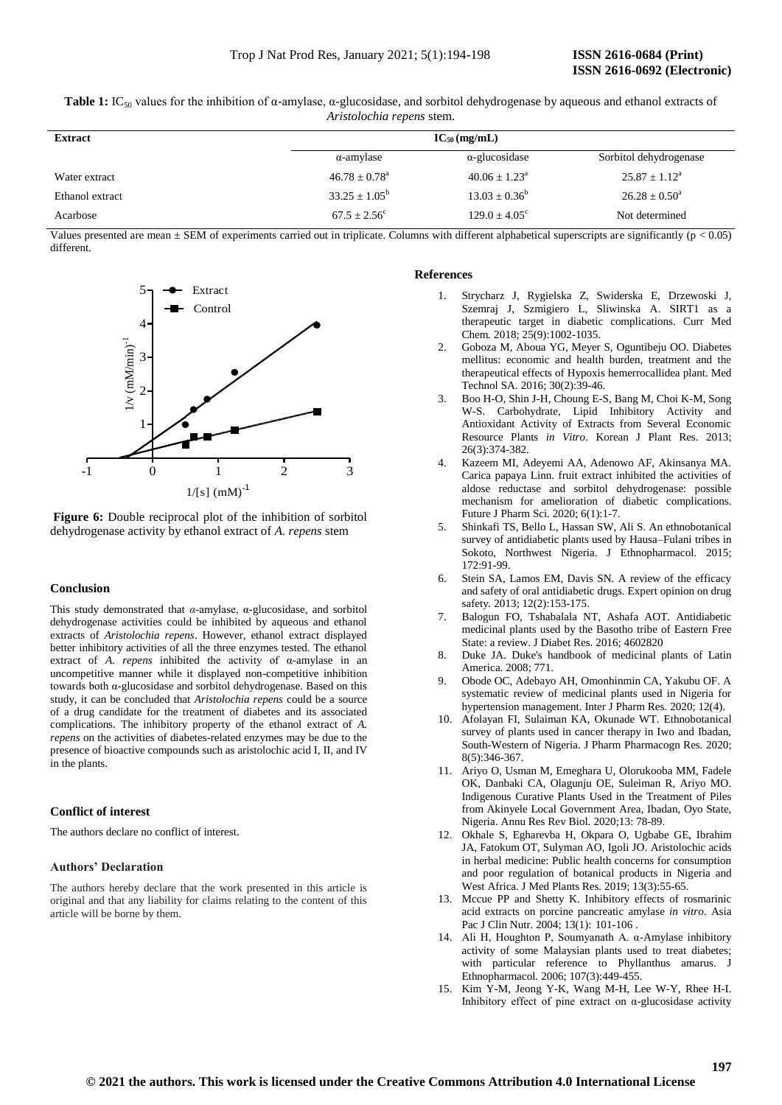| Table 1: IC <sub>50</sub> values for the inhibition of $\alpha$ -amylase, $\alpha$ -glucosidase, and sorbitol dehydrogenase by aqueous and ethanol extracts of |                                  |  |  |
|----------------------------------------------------------------------------------------------------------------------------------------------------------------|----------------------------------|--|--|
|                                                                                                                                                                | <i>Aristolochia repens stem.</i> |  |  |

| <b>Extract</b>  | $IC_{50}$ (mg/mL)        |                          |                             |  |
|-----------------|--------------------------|--------------------------|-----------------------------|--|
|                 | $\alpha$ -amylase        | $\alpha$ -glucosidase    | Sorbitol dehydrogenase      |  |
| Water extract   | $46.78 \pm 0.78^{\circ}$ | $40.06 \pm 1.23^{\circ}$ | $25.87 \pm 1.12^{\text{a}}$ |  |
| Ethanol extract | $33.25 + 1.05^b$         | $13.03 + 0.36^b$         | $26.28 \pm 0.50^{\circ}$    |  |
| Acarbose        | $67.5 + 2.56^{\circ}$    | $129.0 + 4.05^{\circ}$   | Not determined              |  |

Values presented are mean  $\pm$  SEM of experiments carried out in triplicate. Columns with different alphabetical superscripts are significantly ( $p < 0.05$ ) different.



**Figure 6:** Double reciprocal plot of the inhibition of sorbitol dehydrogenase activity by ethanol extract of *A. repens* stem

## **Conclusion**

This study demonstrated that *α*-amylase, α-glucosidase, and sorbitol dehydrogenase activities could be inhibited by aqueous and ethanol extracts of *Aristolochia repens*. However, ethanol extract displayed better inhibitory activities of all the three enzymes tested. The ethanol extract of *A. repens* inhibited the activity of α-amylase in an uncompetitive manner while it displayed non-competitive inhibition towards both α-glucosidase and sorbitol dehydrogenase. Based on this study, it can be concluded that *Aristolochia repens* could be a source of a drug candidate for the treatment of diabetes and its associated complications. The inhibitory property of the ethanol extract of *A. repens* on the activities of diabetes-related enzymes may be due to the presence of bioactive compounds such as aristolochic acid I, II, and IV in the plants.

## **Conflict of interest**

The authors declare no conflict of interest.

## **Authors' Declaration**

The authors hereby declare that the work presented in this article is original and that any liability for claims relating to the content of this article will be borne by them.

## **References**

- 1. Strycharz J, Rygielska Z, Swiderska E, Drzewoski J, Szemraj J, Szmigiero L, Sliwinska A. SIRT1 as a therapeutic target in diabetic complications. Curr Med Chem*.* 2018; 25(9):1002-1035.
- 2. Goboza M, Aboua YG, Meyer S, Oguntibeju OO. Diabetes mellitus: economic and health burden, treatment and the therapeutical effects of Hypoxis hemerrocallidea plant. Med Technol SA*.* 2016; 30(2):39-46.
- 3. Boo H-O, Shin J-H, Choung E-S, Bang M, Choi K-M, Song W-S. Carbohydrate, Lipid Inhibitory Activity and Antioxidant Activity of Extracts from Several Economic Resource Plants *in Vitro*. Korean J Plant Res*.* 2013; 26(3):374-382.
- 4. Kazeem MI, Adeyemi AA, Adenowo AF, Akinsanya MA. Carica papaya Linn. fruit extract inhibited the activities of aldose reductase and sorbitol dehydrogenase: possible mechanism for amelioration of diabetic complications. Future J Pharm Sci*.* 2020; 6(1):1-7.
- 5. Shinkafi TS, Bello L, Hassan SW, Ali S. An ethnobotanical survey of antidiabetic plants used by Hausa–Fulani tribes in Sokoto, Northwest Nigeria. J Ethnopharmacol*.* 2015; 172:91-99.
- 6. Stein SA, Lamos EM, Davis SN. A review of the efficacy and safety of oral antidiabetic drugs. Expert opinion on drug safety*.* 2013; 12(2):153-175.
- 7. Balogun FO, Tshabalala NT, Ashafa AOT. Antidiabetic medicinal plants used by the Basotho tribe of Eastern Free State: a review. J Diabet Res*.* 2016; 4602820
- 8. Duke JA. Duke's handbook of medicinal plants of Latin America*.* 2008; 771.
- 9. Obode OC, Adebayo AH, Omonhinmin CA, Yakubu OF. A systematic review of medicinal plants used in Nigeria for hypertension management. Inter J Pharm Res*.* 2020; 12(4).
- 10. Afolayan FI, Sulaiman KA, Okunade WT. Ethnobotanical survey of plants used in cancer therapy in Iwo and Ibadan, South-Western of Nigeria. J Pharm Pharmacogn Res*.* 2020; 8(5):346-367.
- 11. Ariyo O, Usman M, Emeghara U, Olorukooba MM, Fadele OK, Danbaki CA, Olagunju OE, Suleiman R, Ariyo MO. Indigenous Curative Plants Used in the Treatment of Piles from Akinyele Local Government Area, Ibadan, Oyo State, Nigeria. Annu Res Rev Biol*.* 2020;13: 78-89.
- 12. Okhale S, Egharevba H, Okpara O, Ugbabe GE, Ibrahim JA, Fatokum OT, Sulyman AO, Igoli JO. Aristolochic acids in herbal medicine: Public health concerns for consumption and poor regulation of botanical products in Nigeria and West Africa. J Med Plants Res*.* 2019; 13(3):55-65.
- 13. Mccue PP and Shetty K. Inhibitory effects of rosmarinic acid extracts on porcine pancreatic amylase *in vitro*. Asia Pac J Clin Nutr. 2004; 13(1): 101-106.
- 14. Ali H, Houghton P, Soumyanath A. α-Amylase inhibitory activity of some Malaysian plants used to treat diabetes; with particular reference to Phyllanthus amarus. J Ethnopharmacol*.* 2006; 107(3):449-455.
- 15. Kim Y-M, Jeong Y-K, Wang M-H, Lee W-Y, Rhee H-I. Inhibitory effect of pine extract on  $\alpha$ -glucosidase activity